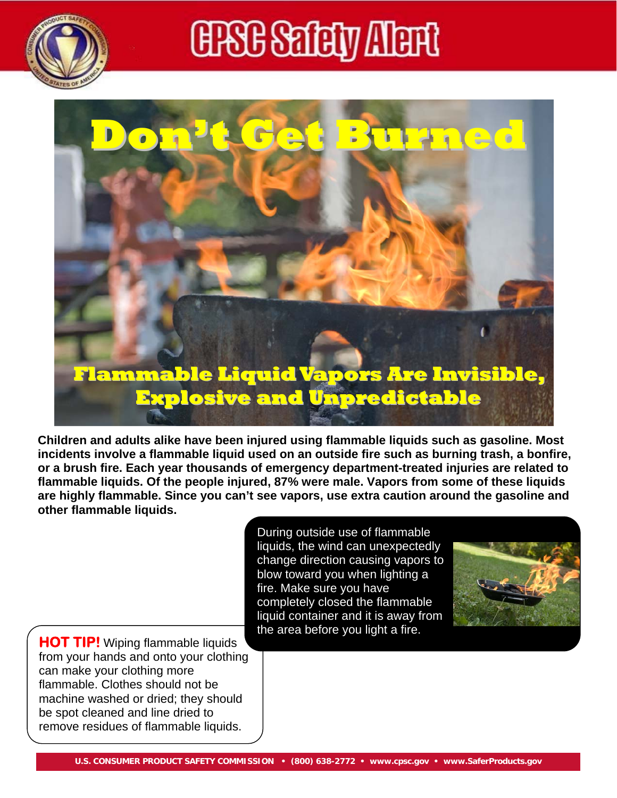

## **ERB Safety Alerti**



**Children and adults alike have been injured using flammable liquids such as gasoline. Most incidents involve a flammable liquid used on an outside fire such as burning trash, a bonfire, or a brush fire. Each year thousands of emergency department-treated injuries are related to flammable liquids. Of the people injured, 87% were male. Vapors from some of these liquids are highly flammable. Since you can't see vapors, use extra caution around the gasoline and other flammable liquids.** 

> During outside use of flammable liquids, the wind can unexpectedly change direction causing vapors to blow toward you when lighting a fire. Make sure you have completely closed the flammable liquid container and it is away from the area before you light a fire.



**HOT TIP!** Wiping flammable liquids from your hands and onto your clothing can make your clothing more flammable. Clothes should not be machine washed or dried; they should be spot cleaned and line dried to remove residues of flammable liquids.